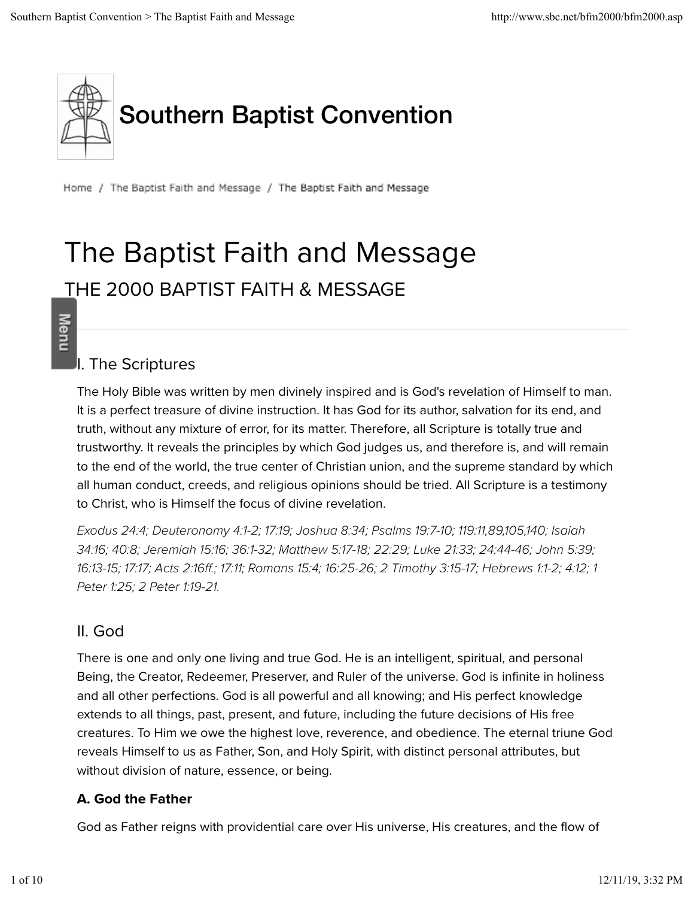

Home / The Baptist Faith and Message / The Baptist Faith and Message

# The Baptist Faith and Message THE 2000 BAPTIST FAITH & MESSAGE

# **Menu**

#### I. The Scriptures

The Holy Bible was written by men divinely inspired and is God's revelation of Himself to man. It is a perfect treasure of divine instruction. It has God for its author, salvation for its end, and truth, without any mixture of error, for its matter. Therefore, all Scripture is totally true and trustworthy. It reveals the principles by which God judges us, and therefore is, and will remain to the end of the world, the true center of Christian union, and the supreme standard by which all human conduct, creeds, and religious opinions should be tried. All Scripture is a testimony to Christ, who is Himself the focus of divine revelation.

*Exodus 24:4; Deuteronomy 4:1-2; 17:19; Joshua 8:34; Psalms 19:7-10; 119:11,89,105,140; Isaiah 34:16; 40:8; Jeremiah 15:16; 36:1-32; Matthew 5:17-18; 22:29; Luke 21:33; 24:44-46; John 5:39; 16:13-15; 17:17; Acts 2:16ff.; 17:11; Romans 15:4; 16:25-26; 2 Timothy 3:15-17; Hebrews 1:1-2; 4:12; 1 Peter 1:25; 2 Peter 1:19-21.*

#### II. God

There is one and only one living and true God. He is an intelligent, spiritual, and personal Being, the Creator, Redeemer, Preserver, and Ruler of the universe. God is infinite in holiness and all other perfections. God is all powerful and all knowing; and His perfect knowledge extends to all things, past, present, and future, including the future decisions of His free creatures. To Him we owe the highest love, reverence, and obedience. The eternal triune God reveals Himself to us as Father, Son, and Holy Spirit, with distinct personal attributes, but without division of nature, essence, or being.

#### **A. God the Father**

God as Father reigns with providential care over His universe, His creatures, and the flow of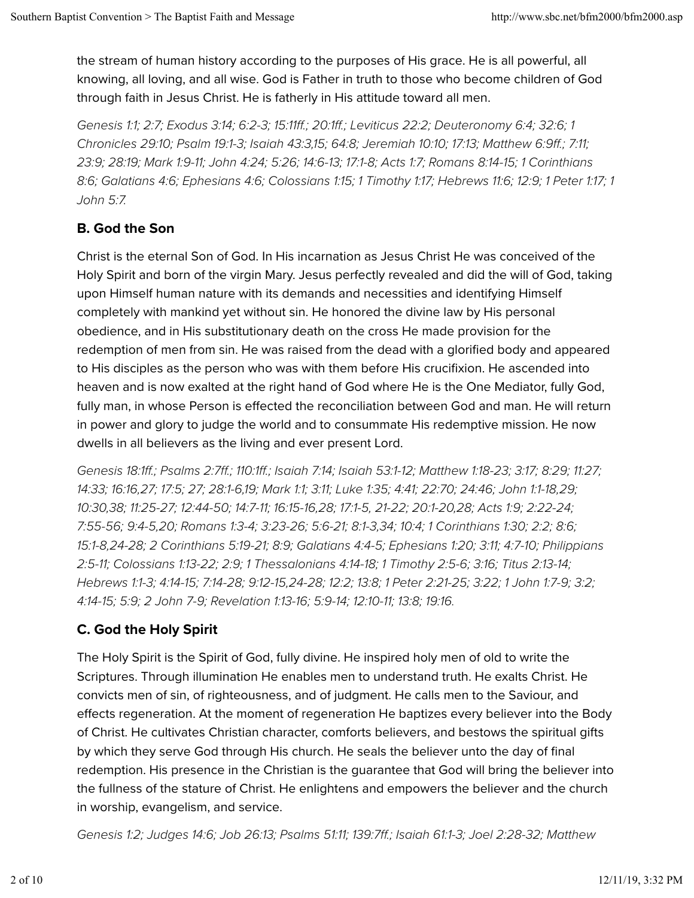the stream of human history according to the purposes of His grace. He is all powerful, all knowing, all loving, and all wise. God is Father in truth to those who become children of God through faith in Jesus Christ. He is fatherly in His attitude toward all men.

*Genesis 1:1; 2:7; Exodus 3:14; 6:2-3; 15:11ff.; 20:1ff.; Leviticus 22:2; Deuteronomy 6:4; 32:6; 1 Chronicles 29:10; Psalm 19:1-3; Isaiah 43:3,15; 64:8; Jeremiah 10:10; 17:13; Matthew 6:9ff.; 7:11; 23:9; 28:19; Mark 1:9-11; John 4:24; 5:26; 14:6-13; 17:1-8; Acts 1:7; Romans 8:14-15; 1 Corinthians 8:6; Galatians 4:6; Ephesians 4:6; Colossians 1:15; 1 Timothy 1:17; Hebrews 11:6; 12:9; 1 Peter 1:17; 1 John 5:7.*

#### **B. God the Son**

Christ is the eternal Son of God. In His incarnation as Jesus Christ He was conceived of the Holy Spirit and born of the virgin Mary. Jesus perfectly revealed and did the will of God, taking upon Himself human nature with its demands and necessities and identifying Himself completely with mankind yet without sin. He honored the divine law by His personal obedience, and in His substitutionary death on the cross He made provision for the redemption of men from sin. He was raised from the dead with a glorified body and appeared to His disciples as the person who was with them before His crucifixion. He ascended into heaven and is now exalted at the right hand of God where He is the One Mediator, fully God, fully man, in whose Person is effected the reconciliation between God and man. He will return in power and glory to judge the world and to consummate His redemptive mission. He now dwells in all believers as the living and ever present Lord.

*Genesis 18:1ff.; Psalms 2:7ff.; 110:1ff.; Isaiah 7:14; Isaiah 53:1-12; Matthew 1:18-23; 3:17; 8:29; 11:27; 14:33; 16:16,27; 17:5; 27; 28:1-6,19; Mark 1:1; 3:11; Luke 1:35; 4:41; 22:70; 24:46; John 1:1-18,29; 10:30,38; 11:25-27; 12:44-50; 14:7-11; 16:15-16,28; 17:1-5, 21-22; 20:1-20,28; Acts 1:9; 2:22-24; 7:55-56; 9:4-5,20; Romans 1:3-4; 3:23-26; 5:6-21; 8:1-3,34; 10:4; 1 Corinthians 1:30; 2:2; 8:6; 15:1-8,24-28; 2 Corinthians 5:19-21; 8:9; Galatians 4:4-5; Ephesians 1:20; 3:11; 4:7-10; Philippians 2:5-11; Colossians 1:13-22; 2:9; 1 Thessalonians 4:14-18; 1 Timothy 2:5-6; 3:16; Titus 2:13-14; Hebrews 1:1-3; 4:14-15; 7:14-28; 9:12-15,24-28; 12:2; 13:8; 1 Peter 2:21-25; 3:22; 1 John 1:7-9; 3:2; 4:14-15; 5:9; 2 John 7-9; Revelation 1:13-16; 5:9-14; 12:10-11; 13:8; 19:16.*

#### **C. God the Holy Spirit**

The Holy Spirit is the Spirit of God, fully divine. He inspired holy men of old to write the Scriptures. Through illumination He enables men to understand truth. He exalts Christ. He convicts men of sin, of righteousness, and of judgment. He calls men to the Saviour, and effects regeneration. At the moment of regeneration He baptizes every believer into the Body of Christ. He cultivates Christian character, comforts believers, and bestows the spiritual gifts by which they serve God through His church. He seals the believer unto the day of final redemption. His presence in the Christian is the guarantee that God will bring the believer into the fullness of the stature of Christ. He enlightens and empowers the believer and the church in worship, evangelism, and service.

*Genesis 1:2; Judges 14:6; Job 26:13; Psalms 51:11; 139:7ff.; Isaiah 61:1-3; Joel 2:28-32; Matthew*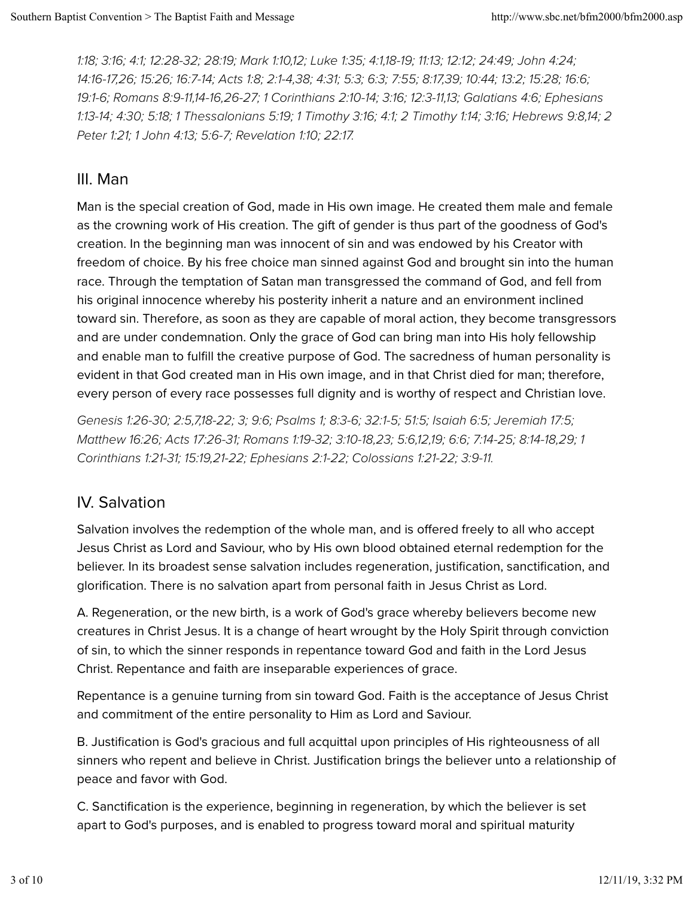*1:18; 3:16; 4:1; 12:28-32; 28:19; Mark 1:10,12; Luke 1:35; 4:1,18-19; 11:13; 12:12; 24:49; John 4:24; 14:16-17,26; 15:26; 16:7-14; Acts 1:8; 2:1-4,38; 4:31; 5:3; 6:3; 7:55; 8:17,39; 10:44; 13:2; 15:28; 16:6; 19:1-6; Romans 8:9-11,14-16,26-27; 1 Corinthians 2:10-14; 3:16; 12:3-11,13; Galatians 4:6; Ephesians 1:13-14; 4:30; 5:18; 1 Thessalonians 5:19; 1 Timothy 3:16; 4:1; 2 Timothy 1:14; 3:16; Hebrews 9:8,14; 2 Peter 1:21; 1 John 4:13; 5:6-7; Revelation 1:10; 22:17.*

#### III. Man

Man is the special creation of God, made in His own image. He created them male and female as the crowning work of His creation. The gift of gender is thus part of the goodness of God's creation. In the beginning man was innocent of sin and was endowed by his Creator with freedom of choice. By his free choice man sinned against God and brought sin into the human race. Through the temptation of Satan man transgressed the command of God, and fell from his original innocence whereby his posterity inherit a nature and an environment inclined toward sin. Therefore, as soon as they are capable of moral action, they become transgressors and are under condemnation. Only the grace of God can bring man into His holy fellowship and enable man to fulfill the creative purpose of God. The sacredness of human personality is evident in that God created man in His own image, and in that Christ died for man; therefore, every person of every race possesses full dignity and is worthy of respect and Christian love.

*Genesis 1:26-30; 2:5,7,18-22; 3; 9:6; Psalms 1; 8:3-6; 32:1-5; 51:5; Isaiah 6:5; Jeremiah 17:5; Matthew 16:26; Acts 17:26-31; Romans 1:19-32; 3:10-18,23; 5:6,12,19; 6:6; 7:14-25; 8:14-18,29; 1 Corinthians 1:21-31; 15:19,21-22; Ephesians 2:1-22; Colossians 1:21-22; 3:9-11.*

# IV. Salvation

Salvation involves the redemption of the whole man, and is offered freely to all who accept Jesus Christ as Lord and Saviour, who by His own blood obtained eternal redemption for the believer. In its broadest sense salvation includes regeneration, justification, sanctification, and glorification. There is no salvation apart from personal faith in Jesus Christ as Lord.

A. Regeneration, or the new birth, is a work of God's grace whereby believers become new creatures in Christ Jesus. It is a change of heart wrought by the Holy Spirit through conviction of sin, to which the sinner responds in repentance toward God and faith in the Lord Jesus Christ. Repentance and faith are inseparable experiences of grace.

Repentance is a genuine turning from sin toward God. Faith is the acceptance of Jesus Christ and commitment of the entire personality to Him as Lord and Saviour.

B. Justification is God's gracious and full acquittal upon principles of His righteousness of all sinners who repent and believe in Christ. Justification brings the believer unto a relationship of peace and favor with God.

C. Sanctification is the experience, beginning in regeneration, by which the believer is set apart to God's purposes, and is enabled to progress toward moral and spiritual maturity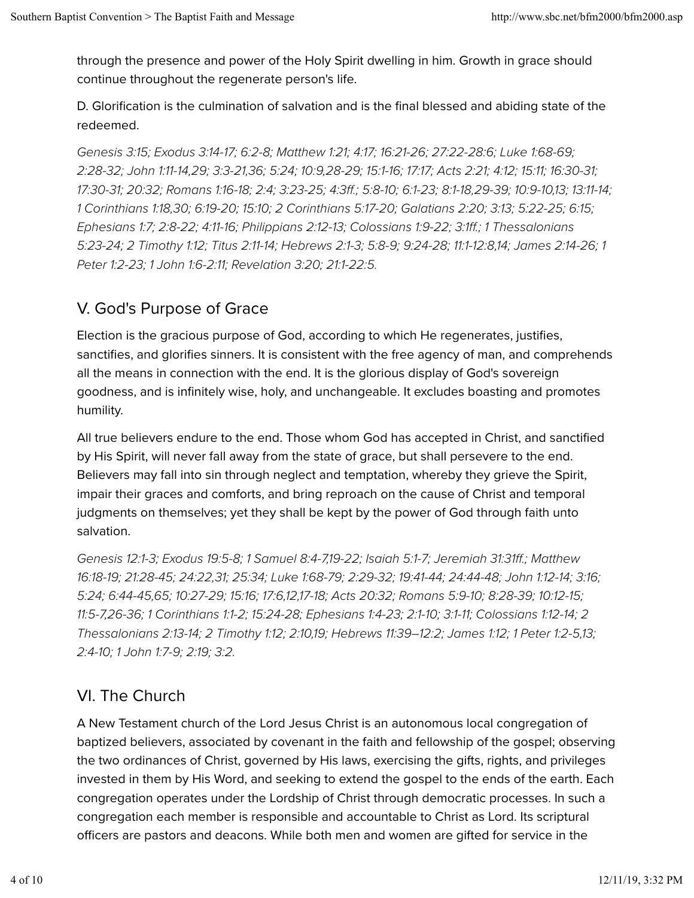through the presence and power of the Holy Spirit dwelling in him. Growth in grace should continue throughout the regenerate person's life.

D. Glorification is the culmination of salvation and is the final blessed and abiding state of the redeemed.

*Genesis 3:15; Exodus 3:14-17; 6:2-8; Matthew 1:21; 4:17; 16:21-26; 27:22-28:6; Luke 1:68-69; 2:28-32; John 1:11-14,29; 3:3-21,36; 5:24; 10:9,28-29; 15:1-16; 17:17; Acts 2:21; 4:12; 15:11; 16:30-31; 17:30-31; 20:32; Romans 1:16-18; 2:4; 3:23-25; 4:3ff.; 5:8-10; 6:1-23; 8:1-18,29-39; 10:9-10,13; 13:11-14; 1 Corinthians 1:18,30; 6:19-20; 15:10; 2 Corinthians 5:17-20; Galatians 2:20; 3:13; 5:22-25; 6:15; Ephesians 1:7; 2:8-22; 4:11-16; Philippians 2:12-13; Colossians 1:9-22; 3:1ff.; 1 Thessalonians 5:23-24; 2 Timothy 1:12; Titus 2:11-14; Hebrews 2:1-3; 5:8-9; 9:24-28; 11:1-12:8,14; James 2:14-26; 1 Peter 1:2-23; 1 John 1:6-2:11; Revelation 3:20; 21:1-22:5.*

#### V. God's Purpose of Grace

Election is the gracious purpose of God, according to which He regenerates, justifies, sanctifies, and glorifies sinners. It is consistent with the free agency of man, and comprehends all the means in connection with the end. It is the glorious display of God's sovereign goodness, and is infinitely wise, holy, and unchangeable. It excludes boasting and promotes humility.

All true believers endure to the end. Those whom God has accepted in Christ, and sanctified by His Spirit, will never fall away from the state of grace, but shall persevere to the end. Believers may fall into sin through neglect and temptation, whereby they grieve the Spirit, impair their graces and comforts, and bring reproach on the cause of Christ and temporal judgments on themselves; yet they shall be kept by the power of God through faith unto salvation.

*Genesis 12:1-3; Exodus 19:5-8; 1 Samuel 8:4-7,19-22; Isaiah 5:1-7; Jeremiah 31:31ff.; Matthew 16:18-19; 21:28-45; 24:22,31; 25:34; Luke 1:68-79; 2:29-32; 19:41-44; 24:44-48; John 1:12-14; 3:16; 5:24; 6:44-45,65; 10:27-29; 15:16; 17:6,12,17-18; Acts 20:32; Romans 5:9-10; 8:28-39; 10:12-15; 11:5-7,26-36; 1 Corinthians 1:1-2; 15:24-28; Ephesians 1:4-23; 2:1-10; 3:1-11; Colossians 1:12-14; 2 Thessalonians 2:13-14; 2 Timothy 1:12; 2:10,19; Hebrews 11:39–12:2; James 1:12; 1 Peter 1:2-5,13; 2:4-10; 1 John 1:7-9; 2:19; 3:2.*

# VI. The Church

A New Testament church of the Lord Jesus Christ is an autonomous local congregation of baptized believers, associated by covenant in the faith and fellowship of the gospel; observing the two ordinances of Christ, governed by His laws, exercising the gifts, rights, and privileges invested in them by His Word, and seeking to extend the gospel to the ends of the earth. Each congregation operates under the Lordship of Christ through democratic processes. In such a congregation each member is responsible and accountable to Christ as Lord. Its scriptural officers are pastors and deacons. While both men and women are gifted for service in the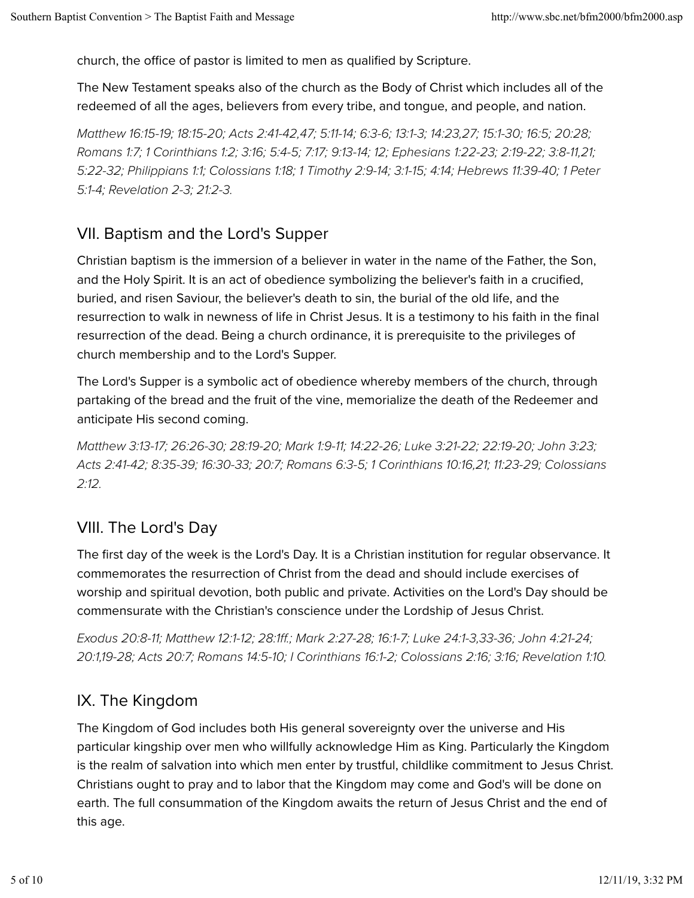church, the office of pastor is limited to men as qualified by Scripture.

The New Testament speaks also of the church as the Body of Christ which includes all of the redeemed of all the ages, believers from every tribe, and tongue, and people, and nation.

*Matthew 16:15-19; 18:15-20; Acts 2:41-42,47; 5:11-14; 6:3-6; 13:1-3; 14:23,27; 15:1-30; 16:5; 20:28; Romans 1:7; 1 Corinthians 1:2; 3:16; 5:4-5; 7:17; 9:13-14; 12; Ephesians 1:22-23; 2:19-22; 3:8-11,21; 5:22-32; Philippians 1:1; Colossians 1:18; 1 Timothy 2:9-14; 3:1-15; 4:14; Hebrews 11:39-40; 1 Peter 5:1-4; Revelation 2-3; 21:2-3.*

# VII. Baptism and the Lord's Supper

Christian baptism is the immersion of a believer in water in the name of the Father, the Son, and the Holy Spirit. It is an act of obedience symbolizing the believer's faith in a crucified, buried, and risen Saviour, the believer's death to sin, the burial of the old life, and the resurrection to walk in newness of life in Christ Jesus. It is a testimony to his faith in the final resurrection of the dead. Being a church ordinance, it is prerequisite to the privileges of church membership and to the Lord's Supper.

The Lord's Supper is a symbolic act of obedience whereby members of the church, through partaking of the bread and the fruit of the vine, memorialize the death of the Redeemer and anticipate His second coming.

*Matthew 3:13-17; 26:26-30; 28:19-20; Mark 1:9-11; 14:22-26; Luke 3:21-22; 22:19-20; John 3:23; Acts 2:41-42; 8:35-39; 16:30-33; 20:7; Romans 6:3-5; 1 Corinthians 10:16,21; 11:23-29; Colossians 2:12.*

# VIII. The Lord's Day

The first day of the week is the Lord's Day. It is a Christian institution for regular observance. It commemorates the resurrection of Christ from the dead and should include exercises of worship and spiritual devotion, both public and private. Activities on the Lord's Day should be commensurate with the Christian's conscience under the Lordship of Jesus Christ.

*Exodus 20:8-11; Matthew 12:1-12; 28:1ff.; Mark 2:27-28; 16:1-7; Luke 24:1-3,33-36; John 4:21-24; 20:1,19-28; Acts 20:7; Romans 14:5-10; I Corinthians 16:1-2; Colossians 2:16; 3:16; Revelation 1:10.*

# IX. The Kingdom

The Kingdom of God includes both His general sovereignty over the universe and His particular kingship over men who willfully acknowledge Him as King. Particularly the Kingdom is the realm of salvation into which men enter by trustful, childlike commitment to Jesus Christ. Christians ought to pray and to labor that the Kingdom may come and God's will be done on earth. The full consummation of the Kingdom awaits the return of Jesus Christ and the end of this age.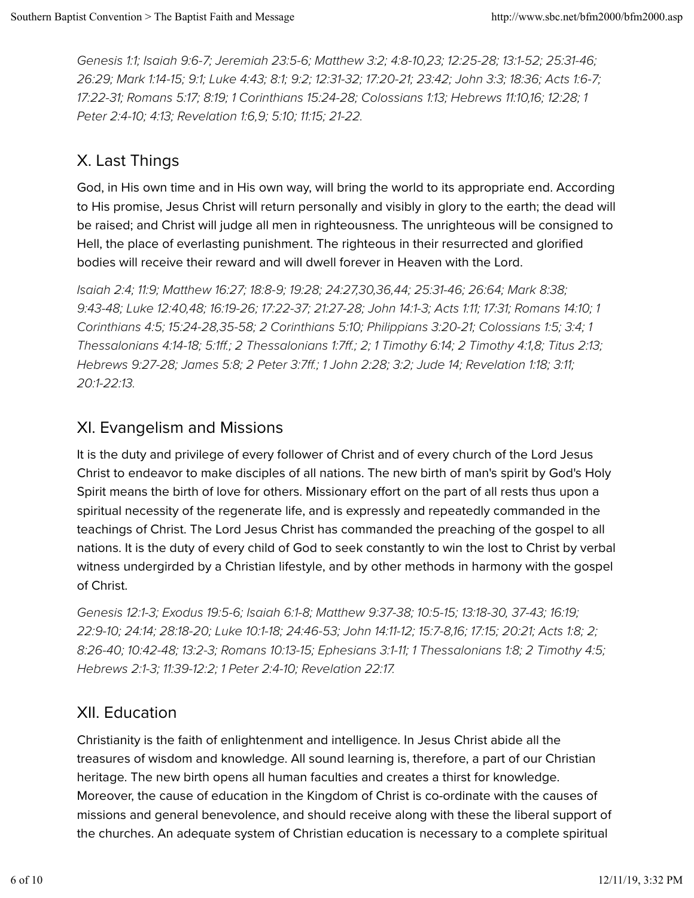*Genesis 1:1; Isaiah 9:6-7; Jeremiah 23:5-6; Matthew 3:2; 4:8-10,23; 12:25-28; 13:1-52; 25:31-46; 26:29; Mark 1:14-15; 9:1; Luke 4:43; 8:1; 9:2; 12:31-32; 17:20-21; 23:42; John 3:3; 18:36; Acts 1:6-7; 17:22-31; Romans 5:17; 8:19; 1 Corinthians 15:24-28; Colossians 1:13; Hebrews 11:10,16; 12:28; 1 Peter 2:4-10; 4:13; Revelation 1:6,9; 5:10; 11:15; 21-22.*

# X. Last Things

God, in His own time and in His own way, will bring the world to its appropriate end. According to His promise, Jesus Christ will return personally and visibly in glory to the earth; the dead will be raised; and Christ will judge all men in righteousness. The unrighteous will be consigned to Hell, the place of everlasting punishment. The righteous in their resurrected and glorified bodies will receive their reward and will dwell forever in Heaven with the Lord.

*Isaiah 2:4; 11:9; Matthew 16:27; 18:8-9; 19:28; 24:27,30,36,44; 25:31-46; 26:64; Mark 8:38; 9:43-48; Luke 12:40,48; 16:19-26; 17:22-37; 21:27-28; John 14:1-3; Acts 1:11; 17:31; Romans 14:10; 1 Corinthians 4:5; 15:24-28,35-58; 2 Corinthians 5:10; Philippians 3:20-21; Colossians 1:5; 3:4; 1 Thessalonians 4:14-18; 5:1ff.; 2 Thessalonians 1:7ff.; 2; 1 Timothy 6:14; 2 Timothy 4:1,8; Titus 2:13; Hebrews 9:27-28; James 5:8; 2 Peter 3:7ff.; 1 John 2:28; 3:2; Jude 14; Revelation 1:18; 3:11; 20:1-22:13.*

#### XI. Evangelism and Missions

It is the duty and privilege of every follower of Christ and of every church of the Lord Jesus Christ to endeavor to make disciples of all nations. The new birth of man's spirit by God's Holy Spirit means the birth of love for others. Missionary effort on the part of all rests thus upon a spiritual necessity of the regenerate life, and is expressly and repeatedly commanded in the teachings of Christ. The Lord Jesus Christ has commanded the preaching of the gospel to all nations. It is the duty of every child of God to seek constantly to win the lost to Christ by verbal witness undergirded by a Christian lifestyle, and by other methods in harmony with the gospel of Christ.

*Genesis 12:1-3; Exodus 19:5-6; Isaiah 6:1-8; Matthew 9:37-38; 10:5-15; 13:18-30, 37-43; 16:19; 22:9-10; 24:14; 28:18-20; Luke 10:1-18; 24:46-53; John 14:11-12; 15:7-8,16; 17:15; 20:21; Acts 1:8; 2; 8:26-40; 10:42-48; 13:2-3; Romans 10:13-15; Ephesians 3:1-11; 1 Thessalonians 1:8; 2 Timothy 4:5; Hebrews 2:1-3; 11:39-12:2; 1 Peter 2:4-10; Revelation 22:17.*

# XII. Education

Christianity is the faith of enlightenment and intelligence. In Jesus Christ abide all the treasures of wisdom and knowledge. All sound learning is, therefore, a part of our Christian heritage. The new birth opens all human faculties and creates a thirst for knowledge. Moreover, the cause of education in the Kingdom of Christ is co-ordinate with the causes of missions and general benevolence, and should receive along with these the liberal support of the churches. An adequate system of Christian education is necessary to a complete spiritual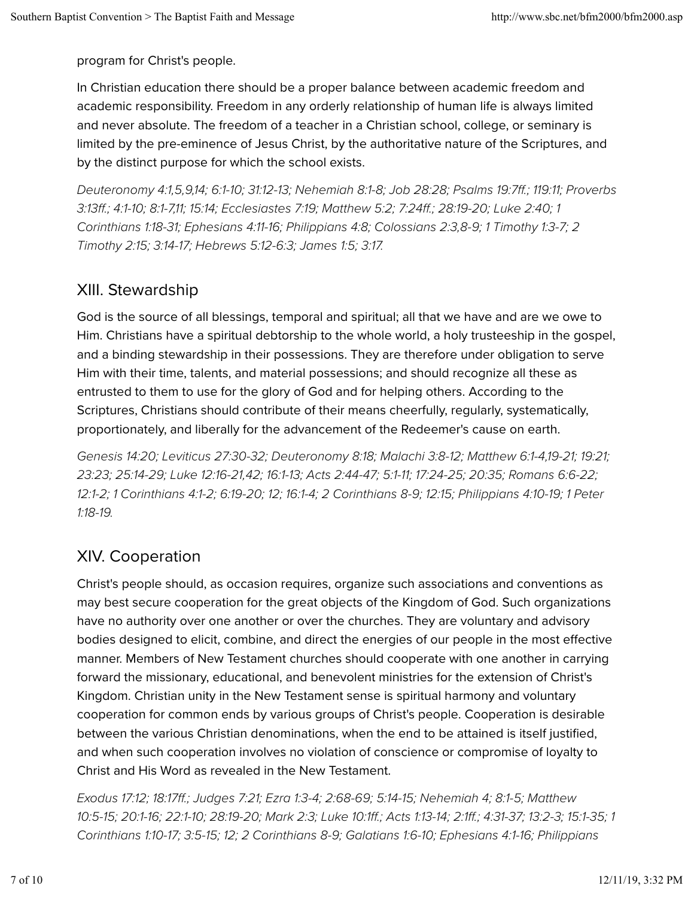program for Christ's people.

In Christian education there should be a proper balance between academic freedom and academic responsibility. Freedom in any orderly relationship of human life is always limited and never absolute. The freedom of a teacher in a Christian school, college, or seminary is limited by the pre-eminence of Jesus Christ, by the authoritative nature of the Scriptures, and by the distinct purpose for which the school exists.

*Deuteronomy 4:1,5,9,14; 6:1-10; 31:12-13; Nehemiah 8:1-8; Job 28:28; Psalms 19:7ff.; 119:11; Proverbs 3:13ff.; 4:1-10; 8:1-7,11; 15:14; Ecclesiastes 7:19; Matthew 5:2; 7:24ff.; 28:19-20; Luke 2:40; 1 Corinthians 1:18-31; Ephesians 4:11-16; Philippians 4:8; Colossians 2:3,8-9; 1 Timothy 1:3-7; 2 Timothy 2:15; 3:14-17; Hebrews 5:12-6:3; James 1:5; 3:17.*

#### XIII. Stewardship

God is the source of all blessings, temporal and spiritual; all that we have and are we owe to Him. Christians have a spiritual debtorship to the whole world, a holy trusteeship in the gospel, and a binding stewardship in their possessions. They are therefore under obligation to serve Him with their time, talents, and material possessions; and should recognize all these as entrusted to them to use for the glory of God and for helping others. According to the Scriptures, Christians should contribute of their means cheerfully, regularly, systematically, proportionately, and liberally for the advancement of the Redeemer's cause on earth.

*Genesis 14:20; Leviticus 27:30-32; Deuteronomy 8:18; Malachi 3:8-12; Matthew 6:1-4,19-21; 19:21; 23:23; 25:14-29; Luke 12:16-21,42; 16:1-13; Acts 2:44-47; 5:1-11; 17:24-25; 20:35; Romans 6:6-22; 12:1-2; 1 Corinthians 4:1-2; 6:19-20; 12; 16:1-4; 2 Corinthians 8-9; 12:15; Philippians 4:10-19; 1 Peter 1:18-19.*

#### XIV. Cooperation

Christ's people should, as occasion requires, organize such associations and conventions as may best secure cooperation for the great objects of the Kingdom of God. Such organizations have no authority over one another or over the churches. They are voluntary and advisory bodies designed to elicit, combine, and direct the energies of our people in the most effective manner. Members of New Testament churches should cooperate with one another in carrying forward the missionary, educational, and benevolent ministries for the extension of Christ's Kingdom. Christian unity in the New Testament sense is spiritual harmony and voluntary cooperation for common ends by various groups of Christ's people. Cooperation is desirable between the various Christian denominations, when the end to be attained is itself justified, and when such cooperation involves no violation of conscience or compromise of loyalty to Christ and His Word as revealed in the New Testament.

*Exodus 17:12; 18:17ff.; Judges 7:21; Ezra 1:3-4; 2:68-69; 5:14-15; Nehemiah 4; 8:1-5; Matthew 10:5-15; 20:1-16; 22:1-10; 28:19-20; Mark 2:3; Luke 10:1ff.; Acts 1:13-14; 2:1ff.; 4:31-37; 13:2-3; 15:1-35; 1 Corinthians 1:10-17; 3:5-15; 12; 2 Corinthians 8-9; Galatians 1:6-10; Ephesians 4:1-16; Philippians*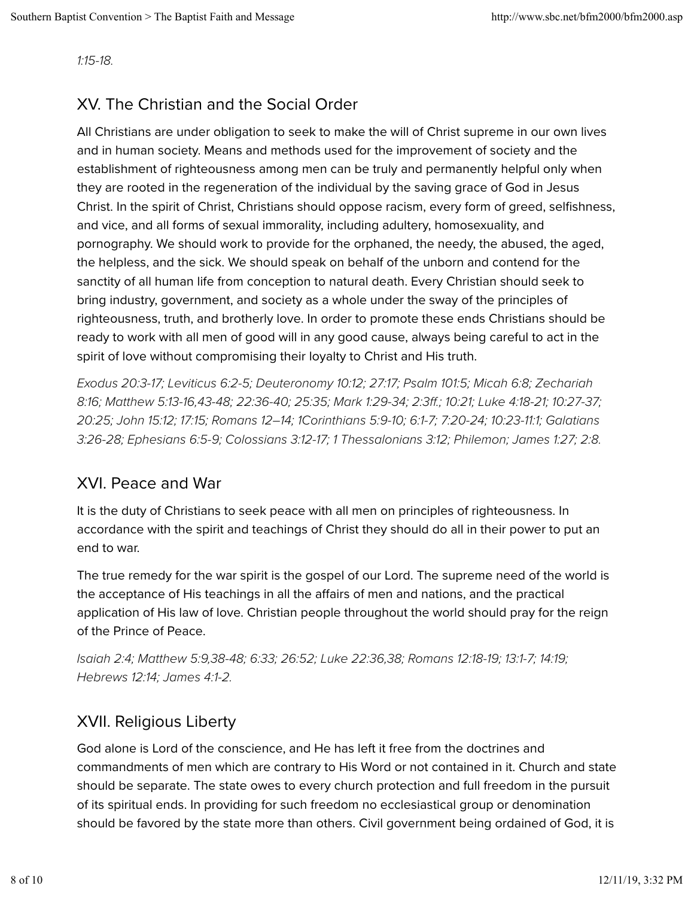*1:15-18.*

# XV. The Christian and the Social Order

All Christians are under obligation to seek to make the will of Christ supreme in our own lives and in human society. Means and methods used for the improvement of society and the establishment of righteousness among men can be truly and permanently helpful only when they are rooted in the regeneration of the individual by the saving grace of God in Jesus Christ. In the spirit of Christ, Christians should oppose racism, every form of greed, selfishness, and vice, and all forms of sexual immorality, including adultery, homosexuality, and pornography. We should work to provide for the orphaned, the needy, the abused, the aged, the helpless, and the sick. We should speak on behalf of the unborn and contend for the sanctity of all human life from conception to natural death. Every Christian should seek to bring industry, government, and society as a whole under the sway of the principles of righteousness, truth, and brotherly love. In order to promote these ends Christians should be ready to work with all men of good will in any good cause, always being careful to act in the spirit of love without compromising their loyalty to Christ and His truth.

*Exodus 20:3-17; Leviticus 6:2-5; Deuteronomy 10:12; 27:17; Psalm 101:5; Micah 6:8; Zechariah 8:16; Matthew 5:13-16,43-48; 22:36-40; 25:35; Mark 1:29-34; 2:3ff.; 10:21; Luke 4:18-21; 10:27-37; 20:25; John 15:12; 17:15; Romans 12–14; 1Corinthians 5:9-10; 6:1-7; 7:20-24; 10:23-11:1; Galatians 3:26-28; Ephesians 6:5-9; Colossians 3:12-17; 1 Thessalonians 3:12; Philemon; James 1:27; 2:8.*

#### XVI. Peace and War

It is the duty of Christians to seek peace with all men on principles of righteousness. In accordance with the spirit and teachings of Christ they should do all in their power to put an end to war.

The true remedy for the war spirit is the gospel of our Lord. The supreme need of the world is the acceptance of His teachings in all the affairs of men and nations, and the practical application of His law of love. Christian people throughout the world should pray for the reign of the Prince of Peace.

*Isaiah 2:4; Matthew 5:9,38-48; 6:33; 26:52; Luke 22:36,38; Romans 12:18-19; 13:1-7; 14:19; Hebrews 12:14; James 4:1-2.*

# XVII. Religious Liberty

God alone is Lord of the conscience, and He has left it free from the doctrines and commandments of men which are contrary to His Word or not contained in it. Church and state should be separate. The state owes to every church protection and full freedom in the pursuit of its spiritual ends. In providing for such freedom no ecclesiastical group or denomination should be favored by the state more than others. Civil government being ordained of God, it is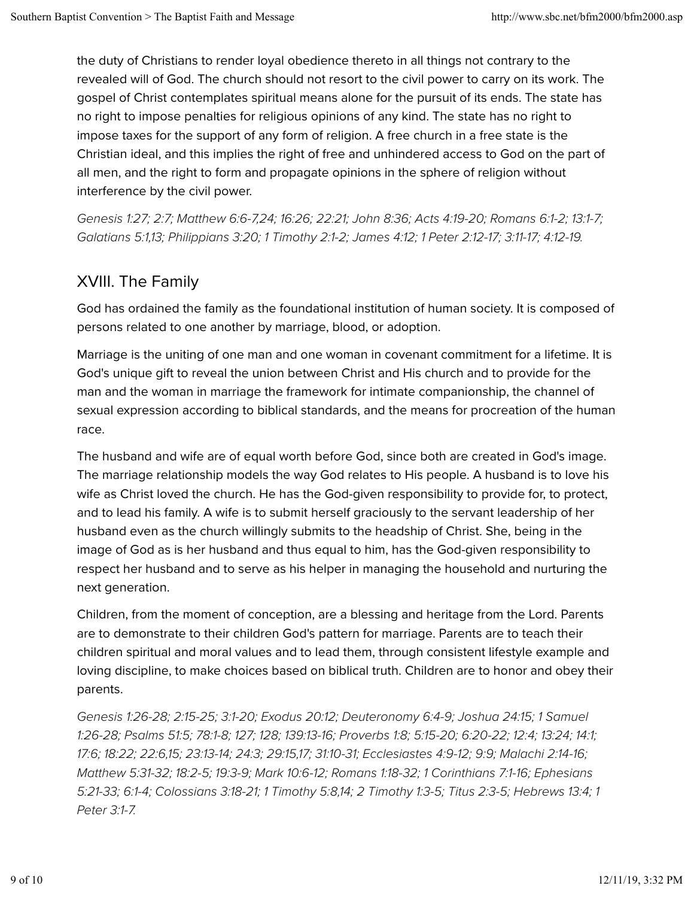the duty of Christians to render loyal obedience thereto in all things not contrary to the revealed will of God. The church should not resort to the civil power to carry on its work. The gospel of Christ contemplates spiritual means alone for the pursuit of its ends. The state has no right to impose penalties for religious opinions of any kind. The state has no right to impose taxes for the support of any form of religion. A free church in a free state is the Christian ideal, and this implies the right of free and unhindered access to God on the part of all men, and the right to form and propagate opinions in the sphere of religion without interference by the civil power.

*Genesis 1:27; 2:7; Matthew 6:6-7,24; 16:26; 22:21; John 8:36; Acts 4:19-20; Romans 6:1-2; 13:1-7; Galatians 5:1,13; Philippians 3:20; 1 Timothy 2:1-2; James 4:12; 1 Peter 2:12-17; 3:11-17; 4:12-19.*

# XVIII. The Family

God has ordained the family as the foundational institution of human society. It is composed of persons related to one another by marriage, blood, or adoption.

Marriage is the uniting of one man and one woman in covenant commitment for a lifetime. It is God's unique gift to reveal the union between Christ and His church and to provide for the man and the woman in marriage the framework for intimate companionship, the channel of sexual expression according to biblical standards, and the means for procreation of the human race.

The husband and wife are of equal worth before God, since both are created in God's image. The marriage relationship models the way God relates to His people. A husband is to love his wife as Christ loved the church. He has the God-given responsibility to provide for, to protect, and to lead his family. A wife is to submit herself graciously to the servant leadership of her husband even as the church willingly submits to the headship of Christ. She, being in the image of God as is her husband and thus equal to him, has the God-given responsibility to respect her husband and to serve as his helper in managing the household and nurturing the next generation.

Children, from the moment of conception, are a blessing and heritage from the Lord. Parents are to demonstrate to their children God's pattern for marriage. Parents are to teach their children spiritual and moral values and to lead them, through consistent lifestyle example and loving discipline, to make choices based on biblical truth. Children are to honor and obey their parents.

*Genesis 1:26-28; 2:15-25; 3:1-20; Exodus 20:12; Deuteronomy 6:4-9; Joshua 24:15; 1 Samuel 1:26-28; Psalms 51:5; 78:1-8; 127; 128; 139:13-16; Proverbs 1:8; 5:15-20; 6:20-22; 12:4; 13:24; 14:1; 17:6; 18:22; 22:6,15; 23:13-14; 24:3; 29:15,17; 31:10-31; Ecclesiastes 4:9-12; 9:9; Malachi 2:14-16; Matthew 5:31-32; 18:2-5; 19:3-9; Mark 10:6-12; Romans 1:18-32; 1 Corinthians 7:1-16; Ephesians 5:21-33; 6:1-4; Colossians 3:18-21; 1 Timothy 5:8,14; 2 Timothy 1:3-5; Titus 2:3-5; Hebrews 13:4; 1 Peter 3:1-7.*